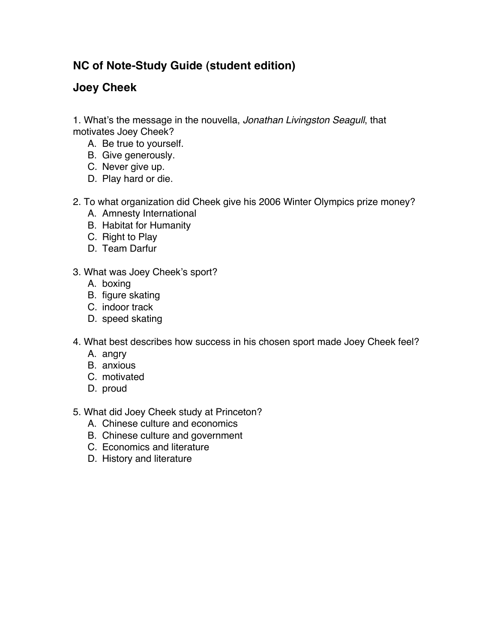## **NC of Note-Study Guide (student edition)**

## **Joey Cheek**

1. What's the message in the nouvella, *Jonathan Livingston Seagull*, that motivates Joey Cheek?

- A. Be true to yourself.
- B. Give generously.
- C. Never give up.
- D. Play hard or die.
- 2. To what organization did Cheek give his 2006 Winter Olympics prize money?
	- A. Amnesty International
	- B. Habitat for Humanity
	- C. Right to Play
	- D. Team Darfur
- 3. What was Joey Cheek's sport?
	- A. boxing
	- B. figure skating
	- C. indoor track
	- D. speed skating
- 4. What best describes how success in his chosen sport made Joey Cheek feel?
	- A. angry
	- B. anxious
	- C. motivated
	- D. proud
- 5. What did Joey Cheek study at Princeton?
	- A. Chinese culture and economics
	- B. Chinese culture and government
	- C. Economics and literature
	- D. History and literature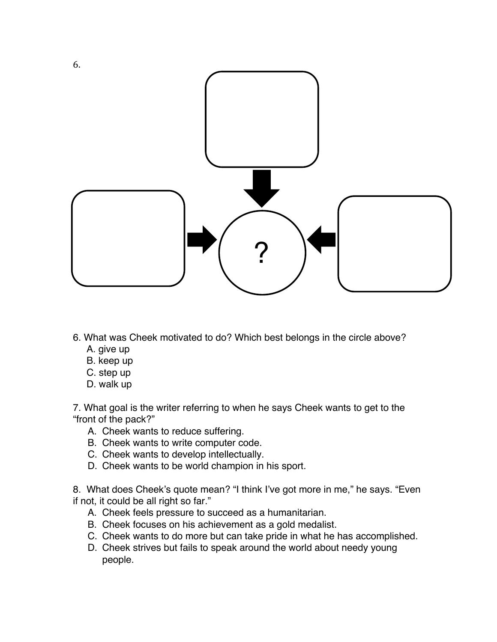

- 6. What was Cheek motivated to do? Which best belongs in the circle above?
	- A. give up
	- B. keep up
	- C. step up
	- D. walk up

7. What goal is the writer referring to when he says Cheek wants to get to the "front of the pack?"

- A. Cheek wants to reduce suffering.
- B. Cheek wants to write computer code.
- C. Cheek wants to develop intellectually.
- D. Cheek wants to be world champion in his sport.

8. What does Cheek's quote mean? "I think I've got more in me," he says. "Even if not, it could be all right so far."

- A. Cheek feels pressure to succeed as a humanitarian.
- B. Cheek focuses on his achievement as a gold medalist.
- C. Cheek wants to do more but can take pride in what he has accomplished.
- D. Cheek strives but fails to speak around the world about needy young people.